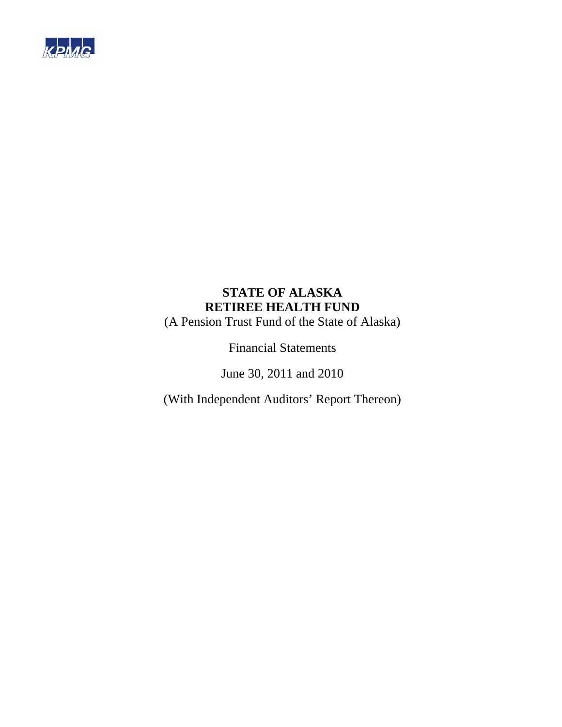

(A Pension Trust Fund of the State of Alaska)

Financial Statements

June 30, 2011 and 2010

(With Independent Auditors' Report Thereon)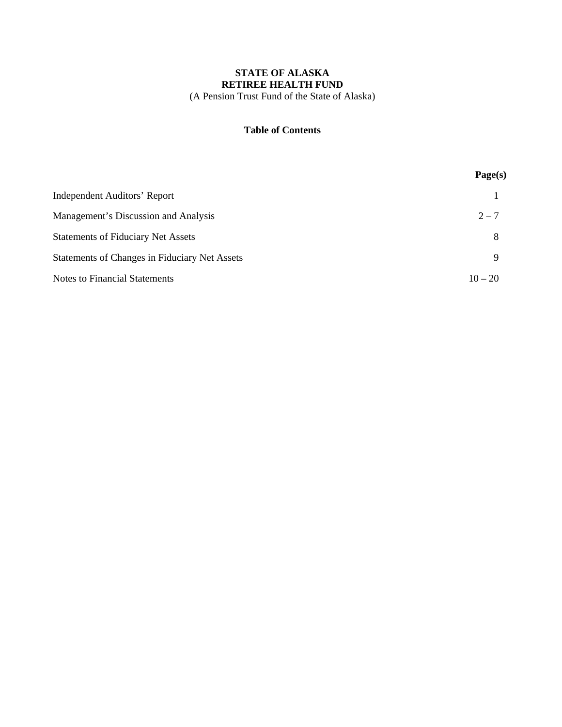### **STATE OF ALASKA RETIREE HEALTH FUND**  (A Pension Trust Fund of the State of Alaska)

#### **Table of Contents**

|                                               | Page(s)   |
|-----------------------------------------------|-----------|
| <b>Independent Auditors' Report</b>           |           |
| Management's Discussion and Analysis          | $2 - 7$   |
| <b>Statements of Fiduciary Net Assets</b>     | 8         |
| Statements of Changes in Fiduciary Net Assets | 9         |
| <b>Notes to Financial Statements</b>          | $10 - 20$ |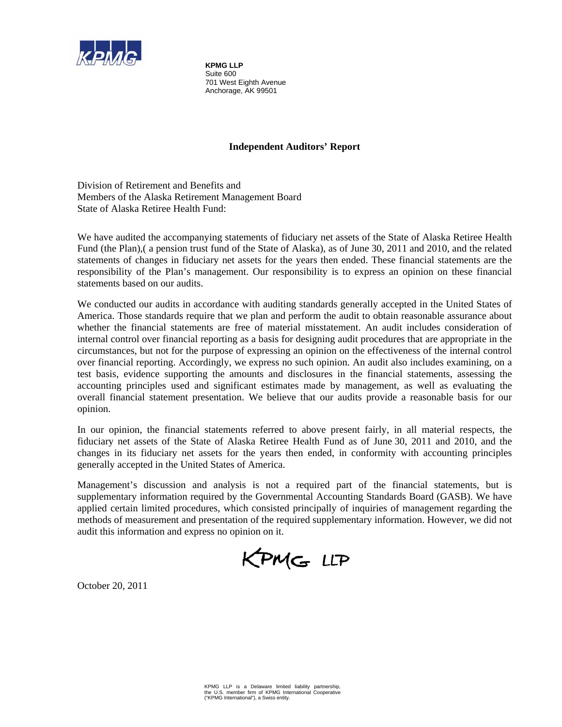

**KPMG LLP**  Suite 600 701 West Eighth Avenue Anchorage, AK 99501

### **Independent Auditors' Report**

Division of Retirement and Benefits and Members of the Alaska Retirement Management Board State of Alaska Retiree Health Fund:

We have audited the accompanying statements of fiduciary net assets of the State of Alaska Retiree Health Fund (the Plan),( a pension trust fund of the State of Alaska), as of June 30, 2011 and 2010, and the related statements of changes in fiduciary net assets for the years then ended. These financial statements are the responsibility of the Plan's management. Our responsibility is to express an opinion on these financial statements based on our audits.

We conducted our audits in accordance with auditing standards generally accepted in the United States of America. Those standards require that we plan and perform the audit to obtain reasonable assurance about whether the financial statements are free of material misstatement. An audit includes consideration of internal control over financial reporting as a basis for designing audit procedures that are appropriate in the circumstances, but not for the purpose of expressing an opinion on the effectiveness of the internal control over financial reporting. Accordingly, we express no such opinion. An audit also includes examining, on a test basis, evidence supporting the amounts and disclosures in the financial statements, assessing the accounting principles used and significant estimates made by management, as well as evaluating the overall financial statement presentation. We believe that our audits provide a reasonable basis for our opinion.

In our opinion, the financial statements referred to above present fairly, in all material respects, the fiduciary net assets of the State of Alaska Retiree Health Fund as of June 30, 2011 and 2010, and the changes in its fiduciary net assets for the years then ended, in conformity with accounting principles generally accepted in the United States of America.

Management's discussion and analysis is not a required part of the financial statements, but is supplementary information required by the Governmental Accounting Standards Board (GASB). We have applied certain limited procedures, which consisted principally of inquiries of management regarding the methods of measurement and presentation of the required supplementary information. However, we did not audit this information and express no opinion on it.

KPMG LLP

October 20, 2011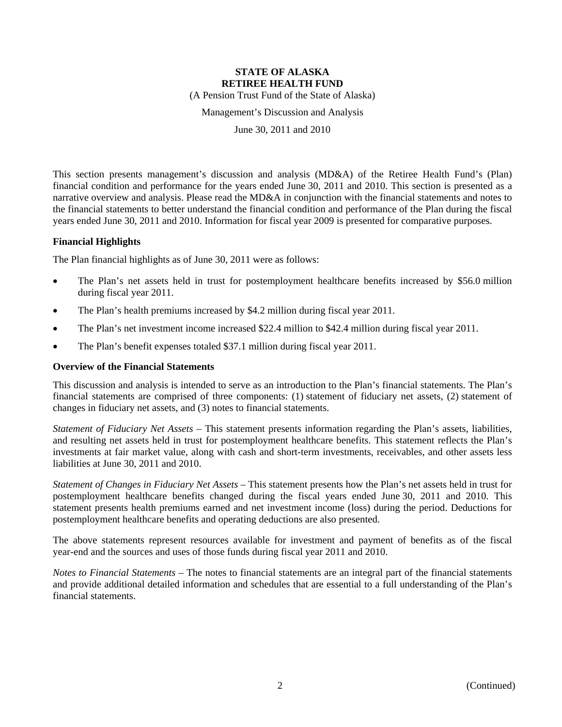(A Pension Trust Fund of the State of Alaska)

Management's Discussion and Analysis

June 30, 2011 and 2010

This section presents management's discussion and analysis (MD&A) of the Retiree Health Fund's (Plan) financial condition and performance for the years ended June 30, 2011 and 2010. This section is presented as a narrative overview and analysis. Please read the MD&A in conjunction with the financial statements and notes to the financial statements to better understand the financial condition and performance of the Plan during the fiscal years ended June 30, 2011 and 2010. Information for fiscal year 2009 is presented for comparative purposes.

#### **Financial Highlights**

The Plan financial highlights as of June 30, 2011 were as follows:

- The Plan's net assets held in trust for postemployment healthcare benefits increased by \$56.0 million during fiscal year 2011.
- The Plan's health premiums increased by \$4.2 million during fiscal year 2011.
- The Plan's net investment income increased \$22.4 million to \$42.4 million during fiscal year 2011.
- The Plan's benefit expenses totaled \$37.1 million during fiscal year 2011.

#### **Overview of the Financial Statements**

This discussion and analysis is intended to serve as an introduction to the Plan's financial statements. The Plan's financial statements are comprised of three components: (1) statement of fiduciary net assets, (2) statement of changes in fiduciary net assets, and (3) notes to financial statements.

*Statement of Fiduciary Net Assets* – This statement presents information regarding the Plan's assets, liabilities, and resulting net assets held in trust for postemployment healthcare benefits. This statement reflects the Plan's investments at fair market value, along with cash and short-term investments, receivables, and other assets less liabilities at June 30, 2011 and 2010.

*Statement of Changes in Fiduciary Net Assets* – This statement presents how the Plan's net assets held in trust for postemployment healthcare benefits changed during the fiscal years ended June 30, 2011 and 2010. This statement presents health premiums earned and net investment income (loss) during the period. Deductions for postemployment healthcare benefits and operating deductions are also presented.

The above statements represent resources available for investment and payment of benefits as of the fiscal year-end and the sources and uses of those funds during fiscal year 2011 and 2010.

*Notes to Financial Statements* – The notes to financial statements are an integral part of the financial statements and provide additional detailed information and schedules that are essential to a full understanding of the Plan's financial statements.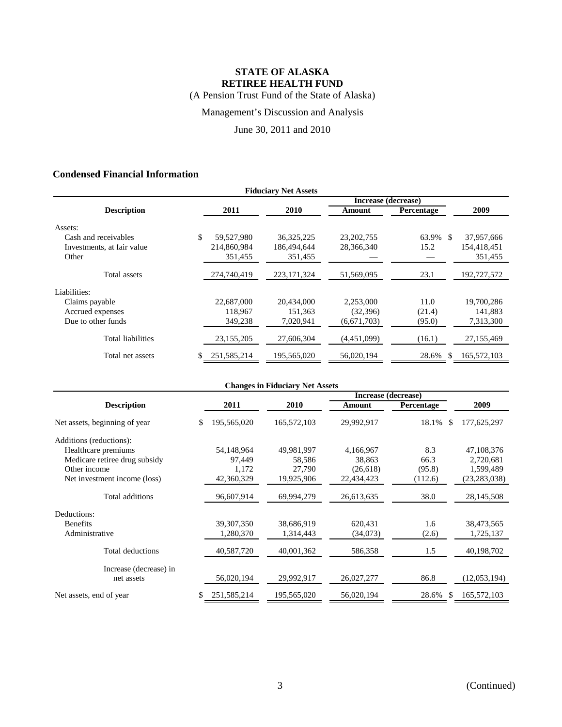(A Pension Trust Fund of the State of Alaska)

Management's Discussion and Analysis

June 30, 2011 and 2010

### **Condensed Financial Information**

| <b>Fiduciary Net Assets</b> |                     |              |               |              |              |             |  |  |  |  |
|-----------------------------|---------------------|--------------|---------------|--------------|--------------|-------------|--|--|--|--|
|                             | Increase (decrease) |              |               |              |              |             |  |  |  |  |
| <b>Description</b>          |                     | 2011         | 2010          | Amount       | Percentage   | 2009        |  |  |  |  |
| Assets:                     |                     |              |               |              |              |             |  |  |  |  |
| Cash and receivables        | \$                  | 59,527,980   | 36, 325, 225  | 23, 202, 755 | 63.9%<br>\$. | 37,957,666  |  |  |  |  |
| Investments, at fair value  |                     | 214,860,984  | 186,494,644   | 28,366,340   | 15.2         | 154,418,451 |  |  |  |  |
| Other                       |                     | 351,455      | 351,455       |              |              | 351,455     |  |  |  |  |
| Total assets                |                     | 274,740,419  | 223, 171, 324 | 51,569,095   | 23.1         | 192,727,572 |  |  |  |  |
| Liabilities:                |                     |              |               |              |              |             |  |  |  |  |
| Claims payable              |                     | 22,687,000   | 20.434,000    | 2,253,000    | 11.0         | 19,700,286  |  |  |  |  |
| Accrued expenses            |                     | 118,967      | 151,363       | (32, 396)    | (21.4)       | 141,883     |  |  |  |  |
| Due to other funds          |                     | 349,238      | 7,020,941     | (6,671,703)  | (95.0)       | 7,313,300   |  |  |  |  |
| <b>Total liabilities</b>    |                     | 23, 155, 205 | 27,606,304    | (4,451,099)  | (16.1)       | 27,155,469  |  |  |  |  |
| Total net assets            |                     | 251.585.214  | 195,565,020   | 56.020.194   | 28.6%<br>\$. | 165,572,103 |  |  |  |  |

| <b>Changes in Fiduciary Net Assets</b> |                   |             |            |              |                |  |  |  |
|----------------------------------------|-------------------|-------------|------------|--------------|----------------|--|--|--|
| Increase (decrease)                    |                   |             |            |              |                |  |  |  |
| <b>Description</b>                     | 2011              | 2010        | Amount     | Percentage   | 2009           |  |  |  |
| Net assets, beginning of year          | 195,565,020<br>\$ | 165,572,103 | 29,992,917 | 18.1%<br>S   | 177,625,297    |  |  |  |
| Additions (reductions):                |                   |             |            |              |                |  |  |  |
| Healthcare premiums                    | 54,148,964        | 49,981,997  | 4,166,967  | 8.3          | 47,108,376     |  |  |  |
| Medicare retiree drug subsidy          | 97,449            | 58,586      | 38,863     | 66.3         | 2,720,681      |  |  |  |
| Other income                           | 1,172             | 27,790      | (26,618)   | (95.8)       | 1,599,489      |  |  |  |
| Net investment income (loss)           | 42,360,329        | 19,925,906  | 22,434,423 | (112.6)      | (23, 283, 038) |  |  |  |
| Total additions                        | 96,607,914        | 69,994,279  | 26,613,635 | 38.0         | 28,145,508     |  |  |  |
| Deductions:                            |                   |             |            |              |                |  |  |  |
| <b>Benefits</b>                        | 39, 307, 350      | 38,686,919  | 620,431    | 1.6          | 38,473,565     |  |  |  |
| Administrative                         | 1,280,370         | 1,314,443   | (34,073)   | (2.6)        | 1,725,137      |  |  |  |
| Total deductions                       | 40,587,720        | 40,001,362  | 586,358    | 1.5          | 40,198,702     |  |  |  |
| Increase (decrease) in                 |                   |             |            |              |                |  |  |  |
| net assets                             | 56,020,194        | 29,992,917  | 26,027,277 | 86.8         | (12,053,194)   |  |  |  |
| Net assets, end of year                | 251,585,214<br>\$ | 195,565,020 | 56,020,194 | 28.6%<br>\$. | 165,572,103    |  |  |  |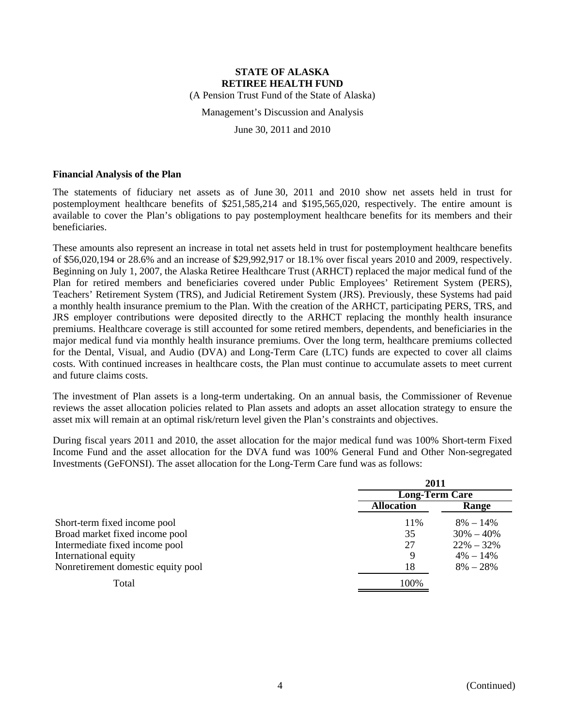(A Pension Trust Fund of the State of Alaska)

Management's Discussion and Analysis

June 30, 2011 and 2010

#### **Financial Analysis of the Plan**

The statements of fiduciary net assets as of June 30, 2011 and 2010 show net assets held in trust for postemployment healthcare benefits of \$251,585,214 and \$195,565,020, respectively. The entire amount is available to cover the Plan's obligations to pay postemployment healthcare benefits for its members and their beneficiaries.

These amounts also represent an increase in total net assets held in trust for postemployment healthcare benefits of \$56,020,194 or 28.6% and an increase of \$29,992,917 or 18.1% over fiscal years 2010 and 2009, respectively. Beginning on July 1, 2007, the Alaska Retiree Healthcare Trust (ARHCT) replaced the major medical fund of the Plan for retired members and beneficiaries covered under Public Employees' Retirement System (PERS), Teachers' Retirement System (TRS), and Judicial Retirement System (JRS). Previously, these Systems had paid a monthly health insurance premium to the Plan. With the creation of the ARHCT, participating PERS, TRS, and JRS employer contributions were deposited directly to the ARHCT replacing the monthly health insurance premiums. Healthcare coverage is still accounted for some retired members, dependents, and beneficiaries in the major medical fund via monthly health insurance premiums. Over the long term, healthcare premiums collected for the Dental, Visual, and Audio (DVA) and Long-Term Care (LTC) funds are expected to cover all claims costs. With continued increases in healthcare costs, the Plan must continue to accumulate assets to meet current and future claims costs.

The investment of Plan assets is a long-term undertaking. On an annual basis, the Commissioner of Revenue reviews the asset allocation policies related to Plan assets and adopts an asset allocation strategy to ensure the asset mix will remain at an optimal risk/return level given the Plan's constraints and objectives.

During fiscal years 2011 and 2010, the asset allocation for the major medical fund was 100% Short-term Fixed Income Fund and the asset allocation for the DVA fund was 100% General Fund and Other Non-segregated Investments (GeFONSI). The asset allocation for the Long-Term Care fund was as follows:

|                                    | 2011                  |               |  |
|------------------------------------|-----------------------|---------------|--|
|                                    | <b>Long-Term Care</b> |               |  |
|                                    | <b>Allocation</b>     | Range         |  |
| Short-term fixed income pool       | 11\%                  | $8\% - 14\%$  |  |
| Broad market fixed income pool     | 35                    | $30\% - 40\%$ |  |
| Intermediate fixed income pool     | 27                    | $22\% - 32\%$ |  |
| International equity               | 9                     | $4\% - 14\%$  |  |
| Nonretirement domestic equity pool | 18                    | $8\% - 28\%$  |  |
| Total                              | 100%                  |               |  |

**2011**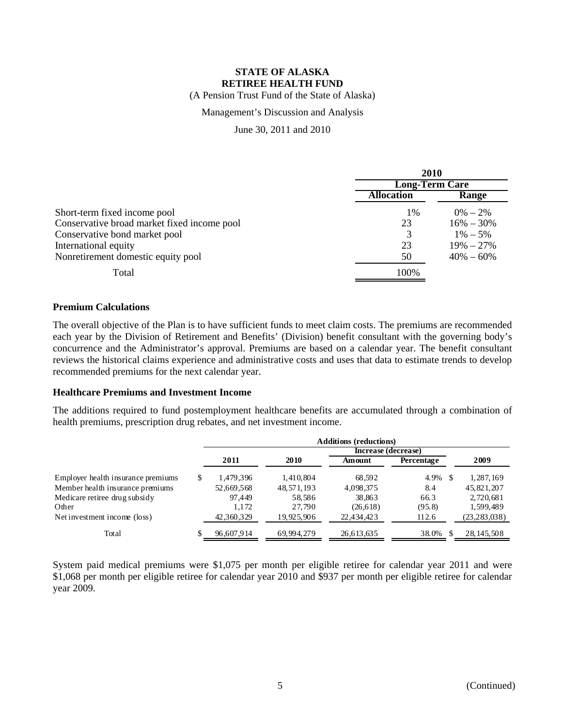(A Pension Trust Fund of the State of Alaska)

### Management's Discussion and Analysis

June 30, 2011 and 2010

|                                             | 2010                  |               |  |
|---------------------------------------------|-----------------------|---------------|--|
|                                             | <b>Long-Term Care</b> |               |  |
|                                             | <b>Allocation</b>     | Range         |  |
| Short-term fixed income pool                | $1\%$                 | $0\% - 2\%$   |  |
| Conservative broad market fixed income pool | 23                    | $16\% - 30\%$ |  |
| Conservative bond market pool               | 3                     | $1\% - 5\%$   |  |
| International equity                        | 23                    | $19\% - 27\%$ |  |
| Nonretirement domestic equity pool          | 50                    | $40\% - 60\%$ |  |
| Total                                       | 100%                  |               |  |

#### **Premium Calculations**

The overall objective of the Plan is to have sufficient funds to meet claim costs. The premiums are recommended each year by the Division of Retirement and Benefits' (Division) benefit consultant with the governing body's concurrence and the Administrator's approval. Premiums are based on a calendar year. The benefit consultant reviews the historical claims experience and administrative costs and uses that data to estimate trends to develop recommended premiums for the next calendar year.

#### **Healthcare Premiums and Investment Income**

The additions required to fund postemployment healthcare benefits are accumulated through a combination of health premiums, prescription drug rebates, and net investment income.

|                                    | <b>Additions (reductions)</b> |            |            |                     |            |  |                |
|------------------------------------|-------------------------------|------------|------------|---------------------|------------|--|----------------|
|                                    |                               |            |            | Increase (decrease) |            |  |                |
|                                    |                               | 2011       | 2010       | Amount              | Percentage |  | 2009           |
| Employer health insurance premiums | S                             | 1,479,396  | 1,410,804  | 68.592              | 4.9%       |  | 1,287,169      |
| Member health insurance premiums   |                               | 52,669,568 | 48,571,193 | 4,098,375           | 8.4        |  | 45,821,207     |
| Medicare retiree drug subsidy      |                               | 97.449     | 58,586     | 38,863              | 66.3       |  | 2,720,681      |
| Other                              |                               | 1.172      | 27.790     | (26, 618)           | (95.8)     |  | 1,599,489      |
| Net investment income (loss)       |                               | 42,360,329 | 19,925,906 | 22,434,423          | 112.6      |  | (23, 283, 038) |
| Total                              |                               | 96,607,914 | 69.994.279 | 26,613,635          | 38.0%      |  | 28, 145, 508   |

System paid medical premiums were \$1,075 per month per eligible retiree for calendar year 2011 and were \$1,068 per month per eligible retiree for calendar year 2010 and \$937 per month per eligible retiree for calendar year 2009.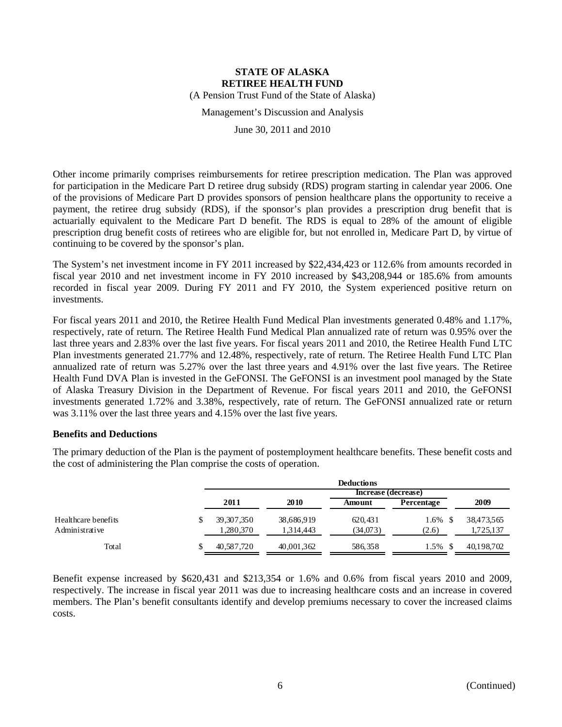(A Pension Trust Fund of the State of Alaska)

Management's Discussion and Analysis

June 30, 2011 and 2010

Other income primarily comprises reimbursements for retiree prescription medication. The Plan was approved for participation in the Medicare Part D retiree drug subsidy (RDS) program starting in calendar year 2006. One of the provisions of Medicare Part D provides sponsors of pension healthcare plans the opportunity to receive a payment, the retiree drug subsidy (RDS), if the sponsor's plan provides a prescription drug benefit that is actuarially equivalent to the Medicare Part D benefit. The RDS is equal to 28% of the amount of eligible prescription drug benefit costs of retirees who are eligible for, but not enrolled in, Medicare Part D, by virtue of continuing to be covered by the sponsor's plan.

The System's net investment income in FY 2011 increased by \$22,434,423 or 112.6% from amounts recorded in fiscal year 2010 and net investment income in FY 2010 increased by \$43,208,944 or 185.6% from amounts recorded in fiscal year 2009. During FY 2011 and FY 2010, the System experienced positive return on investments.

For fiscal years 2011 and 2010, the Retiree Health Fund Medical Plan investments generated 0.48% and 1.17%, respectively, rate of return. The Retiree Health Fund Medical Plan annualized rate of return was 0.95% over the last three years and 2.83% over the last five years. For fiscal years 2011 and 2010, the Retiree Health Fund LTC Plan investments generated 21.77% and 12.48%, respectively, rate of return. The Retiree Health Fund LTC Plan annualized rate of return was 5.27% over the last three years and 4.91% over the last five years. The Retiree Health Fund DVA Plan is invested in the GeFONSI. The GeFONSI is an investment pool managed by the State of Alaska Treasury Division in the Department of Revenue. For fiscal years 2011 and 2010, the GeFONSI investments generated 1.72% and 3.38%, respectively, rate of return. The GeFONSI annualized rate or return was 3.11% over the last three years and 4.15% over the last five years.

#### **Benefits and Deductions**

The primary deduction of the Plan is the payment of postemployment healthcare benefits. These benefit costs and the cost of administering the Plan comprise the costs of operation.

|                     | <b>Deductions</b> |            |                     |            |            |  |  |  |
|---------------------|-------------------|------------|---------------------|------------|------------|--|--|--|
|                     |                   |            | Increase (decrease) |            |            |  |  |  |
|                     | 2011              | 2010       | Amount              | Percentage | 2009       |  |  |  |
| Healthcare benefits | 39, 307, 350      | 38,686,919 | 620.431             | $1.6\%$ \$ | 38,473,565 |  |  |  |
| Administrative      | 1,280,370         | 1,314,443  | (34,073)            | (2.6)      | 1,725,137  |  |  |  |
| Total               | 40,587,720        | 40,001,362 | 586,358             | $1.5\%$ \$ | 40,198,702 |  |  |  |

Benefit expense increased by \$620,431 and \$213,354 or 1.6% and 0.6% from fiscal years 2010 and 2009, respectively. The increase in fiscal year 2011 was due to increasing healthcare costs and an increase in covered members. The Plan's benefit consultants identify and develop premiums necessary to cover the increased claims costs.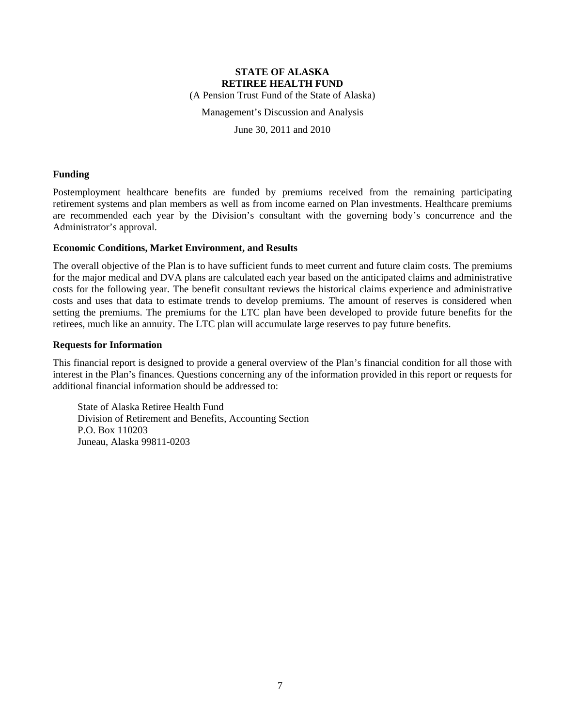(A Pension Trust Fund of the State of Alaska)

Management's Discussion and Analysis

June 30, 2011 and 2010

#### **Funding**

Postemployment healthcare benefits are funded by premiums received from the remaining participating retirement systems and plan members as well as from income earned on Plan investments. Healthcare premiums are recommended each year by the Division's consultant with the governing body's concurrence and the Administrator's approval.

#### **Economic Conditions, Market Environment, and Results**

The overall objective of the Plan is to have sufficient funds to meet current and future claim costs. The premiums for the major medical and DVA plans are calculated each year based on the anticipated claims and administrative costs for the following year. The benefit consultant reviews the historical claims experience and administrative costs and uses that data to estimate trends to develop premiums. The amount of reserves is considered when setting the premiums. The premiums for the LTC plan have been developed to provide future benefits for the retirees, much like an annuity. The LTC plan will accumulate large reserves to pay future benefits.

#### **Requests for Information**

This financial report is designed to provide a general overview of the Plan's financial condition for all those with interest in the Plan's finances. Questions concerning any of the information provided in this report or requests for additional financial information should be addressed to:

State of Alaska Retiree Health Fund Division of Retirement and Benefits, Accounting Section P.O. Box 110203 Juneau, Alaska 99811-0203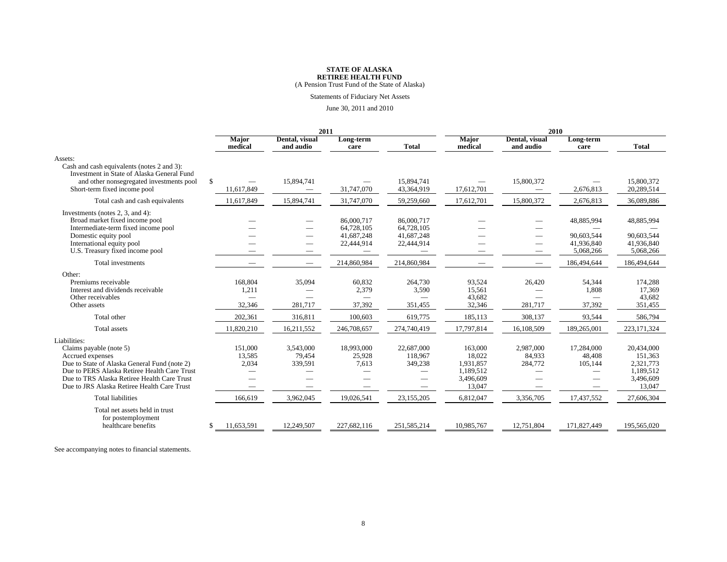(A Pension Trust Fund of the State of Alaska)

Statements of Fiduciary Net Assets

#### June 30, 2011 and 2010

|                                                                                                                                                                                                                                                           |     | 2011                                                                               |                                |                                                           |                                                      | 2010                                                               |                                          |                                                             |                                                                        |
|-----------------------------------------------------------------------------------------------------------------------------------------------------------------------------------------------------------------------------------------------------------|-----|------------------------------------------------------------------------------------|--------------------------------|-----------------------------------------------------------|------------------------------------------------------|--------------------------------------------------------------------|------------------------------------------|-------------------------------------------------------------|------------------------------------------------------------------------|
|                                                                                                                                                                                                                                                           |     | <b>Major</b><br>medical                                                            | Dental, visual<br>and audio    | Long-term<br>care                                         | <b>Total</b>                                         | <b>Major</b><br>medical                                            | Dental, visual<br>and audio              | Long-term<br>care                                           | <b>Total</b>                                                           |
| Assets:<br>Cash and cash equivalents (notes 2 and 3):                                                                                                                                                                                                     |     |                                                                                    |                                |                                                           |                                                      |                                                                    |                                          |                                                             |                                                                        |
| Investment in State of Alaska General Fund<br>and other nonsegregated investments pool<br>Short-term fixed income pool                                                                                                                                    | \$. | 11,617,849                                                                         | 15,894,741                     | 31,747,070                                                | 15,894,741<br>43,364,919                             | 17,612,701                                                         | 15,800,372                               | 2,676,813                                                   | 15,800,372<br>20,289,514                                               |
| Total cash and cash equivalents                                                                                                                                                                                                                           |     | 11,617,849                                                                         | 15,894,741                     | 31,747,070                                                | 59,259,660                                           | 17,612,701                                                         | 15,800,372                               | 2,676,813                                                   | 36,089,886                                                             |
| Investments (notes $2$ , $3$ , and $4$ ):<br>Broad market fixed income pool<br>Intermediate-term fixed income pool<br>Domestic equity pool<br>International equity pool<br>U.S. Treasury fixed income pool                                                |     |                                                                                    |                                | 86,000,717<br>64,728,105<br>41,687,248<br>22,444,914      | 86,000,717<br>64,728,105<br>41,687,248<br>22,444,914 |                                                                    |                                          | 48,885,994<br>90.603.544<br>41,936,840<br>5,068,266         | 48,885,994<br>90.603.544<br>41,936,840<br>5,068,266                    |
| Total investments                                                                                                                                                                                                                                         |     |                                                                                    |                                | 214,860,984                                               | 214,860,984                                          |                                                                    |                                          | 186,494,644                                                 | 186,494,644                                                            |
| Other:<br>Premiums receivable<br>Interest and dividends receivable<br>Other receivables<br>Other assets                                                                                                                                                   |     | 168,804<br>1,211<br>32,346                                                         | 35,094<br>281,717              | 60,832<br>2,379<br>37,392                                 | 264,730<br>3,590<br>351,455                          | 93,524<br>15,561<br>43,682<br>32,346                               | 26,420<br>281,717                        | 54,344<br>1,808<br>37,392                                   | 174,288<br>17.369<br>43,682<br>351,455                                 |
| Total other                                                                                                                                                                                                                                               |     | 202,361                                                                            | 316,811                        | 100,603                                                   | 619,775                                              | 185,113                                                            | 308,137                                  | 93,544                                                      | 586,794                                                                |
| Total assets                                                                                                                                                                                                                                              |     | 11,820,210                                                                         | 16,211,552                     | 246,708,657                                               | 274,740,419                                          | 17,797,814                                                         | 16,108,509                               | 189,265,001                                                 | 223, 171, 324                                                          |
| Liabilities:<br>Claims payable (note 5)<br>Accrued expenses<br>Due to State of Alaska General Fund (note 2)<br>Due to PERS Alaska Retiree Health Care Trust<br>Due to TRS Alaska Retiree Health Care Trust<br>Due to JRS Alaska Retiree Health Care Trust |     | 151,000<br>13.585<br>2,034<br>$\overline{\phantom{0}}$<br>$\overline{\phantom{m}}$ | 3,543,000<br>79.454<br>339,591 | 18,993,000<br>25,928<br>7,613<br>$\overline{\phantom{a}}$ | 22,687,000<br>118,967<br>349,238                     | 163,000<br>18.022<br>1,931,857<br>1,189,512<br>3,496,609<br>13.047 | 2,987,000<br>84.933<br>284,772<br>$\sim$ | 17,284,000<br>48.408<br>105,144<br>$\overline{\phantom{a}}$ | 20,434,000<br>151.363<br>2,321,773<br>1,189,512<br>3,496,609<br>13,047 |
| <b>Total liabilities</b>                                                                                                                                                                                                                                  |     | 166,619                                                                            | 3,962,045                      | 19,026,541                                                | 23,155,205                                           | 6,812,047                                                          | 3,356,705                                | 17,437,552                                                  | 27,606,304                                                             |
| Total net assets held in trust<br>for postemployment<br>healthcare benefits                                                                                                                                                                               | \$  | 11,653,591                                                                         | 12,249,507                     | 227,682,116                                               | 251,585,214                                          | 10,985,767                                                         | 12,751,804                               | 171,827,449                                                 | 195,565,020                                                            |

See accompanying notes to financial statements.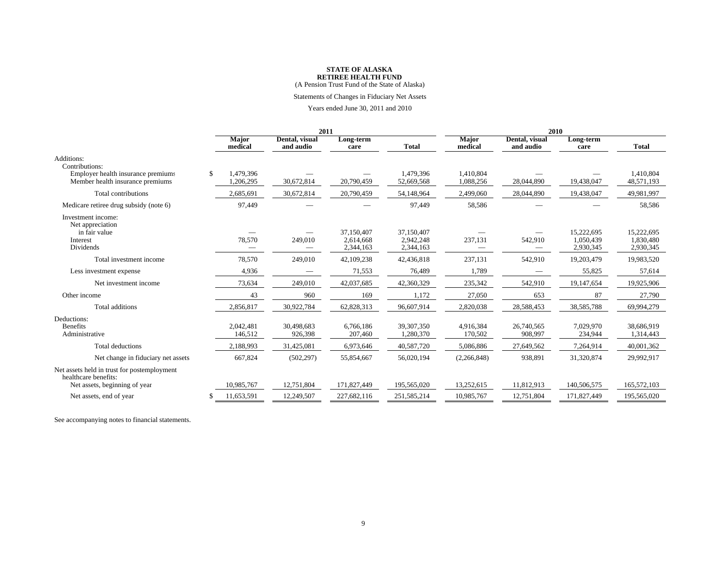(A Pension Trust Fund of the State of Alaska)

Statements of Changes in Fiduciary Net Assets

Years ended June 30, 2011 and 2010

|                                                                                                      | 2011                         |                             |                                      |                                      | 2010                    |                             |                                      |                                      |
|------------------------------------------------------------------------------------------------------|------------------------------|-----------------------------|--------------------------------------|--------------------------------------|-------------------------|-----------------------------|--------------------------------------|--------------------------------------|
|                                                                                                      | <b>Major</b><br>medical      | Dental, visual<br>and audio | Long-term<br>care                    | <b>Total</b>                         | <b>Major</b><br>medical | Dental, visual<br>and audio | Long-term<br>care                    | <b>Total</b>                         |
| Additions:<br>Contributions:                                                                         |                              |                             |                                      |                                      |                         |                             |                                      |                                      |
| Employer health insurance premiums<br>Member health insurance premiums                               | \$<br>1,479,396<br>1,206,295 | 30,672,814                  | 20,790,459                           | 1,479,396<br>52,669,568              | 1,410,804<br>1,088,256  | 28,044,890                  | 19,438,047                           | 1.410.804<br>48,571,193              |
| Total contributions                                                                                  | 2,685,691                    | 30,672,814                  | 20,790,459                           | 54,148,964                           | 2,499,060               | 28,044,890                  | 19,438,047                           | 49,981,997                           |
| Medicare retiree drug subsidy (note 6)                                                               | 97,449                       |                             |                                      | 97,449                               | 58,586                  |                             |                                      | 58,586                               |
| Investment income:<br>Net appreciation<br>in fair value<br>Interest<br>Dividends                     | 78,570                       | 249,010                     | 37,150,407<br>2,614,668<br>2,344,163 | 37,150,407<br>2,942,248<br>2,344,163 | 237,131                 | 542,910                     | 15,222,695<br>1,050,439<br>2,930,345 | 15,222,695<br>1,830,480<br>2,930,345 |
| Total investment income                                                                              | 78,570                       | 249,010                     | 42,109,238                           | 42,436,818                           | 237,131                 | 542,910                     | 19,203,479                           | 19,983,520                           |
| Less investment expense                                                                              | 4,936                        |                             | 71,553                               | 76,489                               | 1,789                   |                             | 55,825                               | 57,614                               |
| Net investment income                                                                                | 73,634                       | 249,010                     | 42,037,685                           | 42,360,329                           | 235,342                 | 542,910                     | 19,147,654                           | 19,925,906                           |
| Other income                                                                                         | 43                           | 960                         | 169                                  | 1,172                                | 27,050                  | 653                         | 87                                   | 27,790                               |
| Total additions                                                                                      | 2,856,817                    | 30,922,784                  | 62,828,313                           | 96,607,914                           | 2,820,038               | 28,588,453                  | 38,585,788                           | 69,994,279                           |
| Deductions:<br><b>Benefits</b><br>Administrative                                                     | 2,042,481<br>146,512         | 30,498,683<br>926,398       | 6,766,186<br>207,460                 | 39,307,350<br>1,280,370              | 4,916,384<br>170,502    | 26,740,565<br>908,997       | 7,029,970<br>234,944                 | 38,686,919<br>1,314,443              |
| Total deductions                                                                                     | 2,188,993                    | 31,425,081                  | 6,973,646                            | 40,587,720                           | 5,086,886               | 27,649,562                  | 7,264,914                            | 40,001,362                           |
| Net change in fiduciary net assets                                                                   | 667,824                      | (502, 297)                  | 55,854,667                           | 56,020,194                           | (2,266,848)             | 938,891                     | 31,320,874                           | 29,992,917                           |
| Net assets held in trust for postemployment<br>healthcare benefits:<br>Net assets, beginning of year | 10,985,767                   | 12,751,804                  | 171,827,449                          | 195,565,020                          | 13,252,615              | 11,812,913                  | 140,506,575                          | 165,572,103                          |
| Net assets, end of year                                                                              | 11,653,591                   | 12,249,507                  | 227,682,116                          | 251,585,214                          | 10,985,767              | 12,751,804                  | 171,827,449                          | 195,565,020                          |

See accompanying notes to financial statements.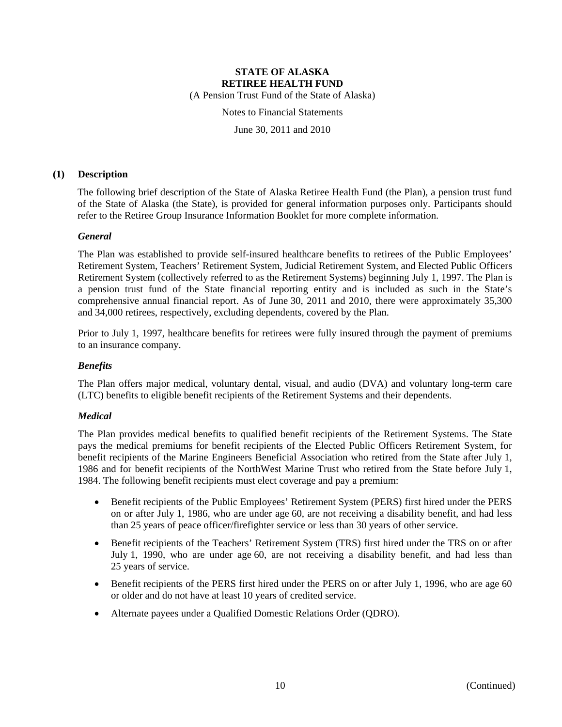(A Pension Trust Fund of the State of Alaska)

Notes to Financial Statements

June 30, 2011 and 2010

#### **(1) Description**

The following brief description of the State of Alaska Retiree Health Fund (the Plan), a pension trust fund of the State of Alaska (the State), is provided for general information purposes only. Participants should refer to the Retiree Group Insurance Information Booklet for more complete information.

#### *General*

The Plan was established to provide self-insured healthcare benefits to retirees of the Public Employees' Retirement System, Teachers' Retirement System, Judicial Retirement System, and Elected Public Officers Retirement System (collectively referred to as the Retirement Systems) beginning July 1, 1997. The Plan is a pension trust fund of the State financial reporting entity and is included as such in the State's comprehensive annual financial report. As of June 30, 2011 and 2010, there were approximately 35,300 and 34,000 retirees, respectively, excluding dependents, covered by the Plan.

Prior to July 1, 1997, healthcare benefits for retirees were fully insured through the payment of premiums to an insurance company.

#### *Benefits*

The Plan offers major medical, voluntary dental, visual, and audio (DVA) and voluntary long-term care (LTC) benefits to eligible benefit recipients of the Retirement Systems and their dependents.

### *Medical*

The Plan provides medical benefits to qualified benefit recipients of the Retirement Systems. The State pays the medical premiums for benefit recipients of the Elected Public Officers Retirement System, for benefit recipients of the Marine Engineers Beneficial Association who retired from the State after July 1, 1986 and for benefit recipients of the NorthWest Marine Trust who retired from the State before July 1, 1984. The following benefit recipients must elect coverage and pay a premium:

- Benefit recipients of the Public Employees' Retirement System (PERS) first hired under the PERS on or after July 1, 1986, who are under age 60, are not receiving a disability benefit, and had less than 25 years of peace officer/firefighter service or less than 30 years of other service.
- Benefit recipients of the Teachers' Retirement System (TRS) first hired under the TRS on or after July 1, 1990, who are under age 60, are not receiving a disability benefit, and had less than 25 years of service.
- Benefit recipients of the PERS first hired under the PERS on or after July 1, 1996, who are age 60 or older and do not have at least 10 years of credited service.
- Alternate payees under a Qualified Domestic Relations Order (QDRO).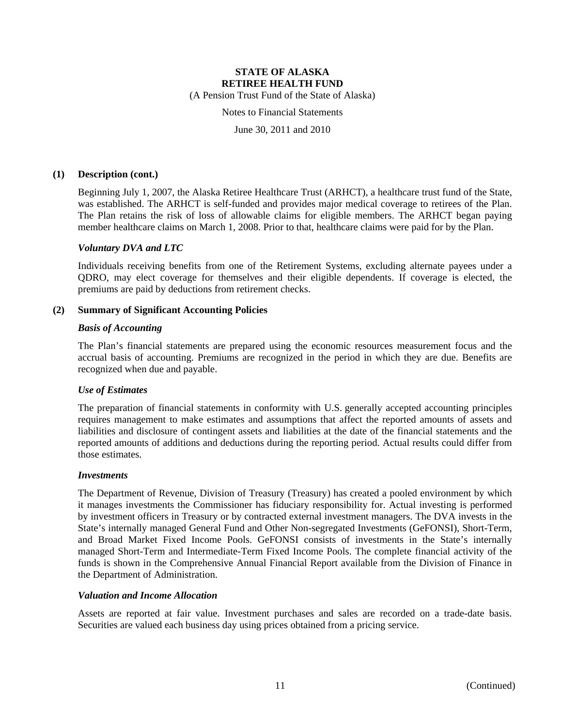(A Pension Trust Fund of the State of Alaska)

Notes to Financial Statements

June 30, 2011 and 2010

#### **(1) Description (cont.)**

Beginning July 1, 2007, the Alaska Retiree Healthcare Trust (ARHCT), a healthcare trust fund of the State, was established. The ARHCT is self-funded and provides major medical coverage to retirees of the Plan. The Plan retains the risk of loss of allowable claims for eligible members. The ARHCT began paying member healthcare claims on March 1, 2008. Prior to that, healthcare claims were paid for by the Plan.

#### *Voluntary DVA and LTC*

Individuals receiving benefits from one of the Retirement Systems, excluding alternate payees under a QDRO, may elect coverage for themselves and their eligible dependents. If coverage is elected, the premiums are paid by deductions from retirement checks.

#### **(2) Summary of Significant Accounting Policies**

#### *Basis of Accounting*

The Plan's financial statements are prepared using the economic resources measurement focus and the accrual basis of accounting. Premiums are recognized in the period in which they are due. Benefits are recognized when due and payable.

#### *Use of Estimates*

The preparation of financial statements in conformity with U.S. generally accepted accounting principles requires management to make estimates and assumptions that affect the reported amounts of assets and liabilities and disclosure of contingent assets and liabilities at the date of the financial statements and the reported amounts of additions and deductions during the reporting period. Actual results could differ from those estimates.

#### *Investments*

The Department of Revenue, Division of Treasury (Treasury) has created a pooled environment by which it manages investments the Commissioner has fiduciary responsibility for. Actual investing is performed by investment officers in Treasury or by contracted external investment managers. The DVA invests in the State's internally managed General Fund and Other Non-segregated Investments (GeFONSI), Short-Term, and Broad Market Fixed Income Pools. GeFONSI consists of investments in the State's internally managed Short-Term and Intermediate-Term Fixed Income Pools. The complete financial activity of the funds is shown in the Comprehensive Annual Financial Report available from the Division of Finance in the Department of Administration.

#### *Valuation and Income Allocation*

Assets are reported at fair value. Investment purchases and sales are recorded on a trade-date basis. Securities are valued each business day using prices obtained from a pricing service.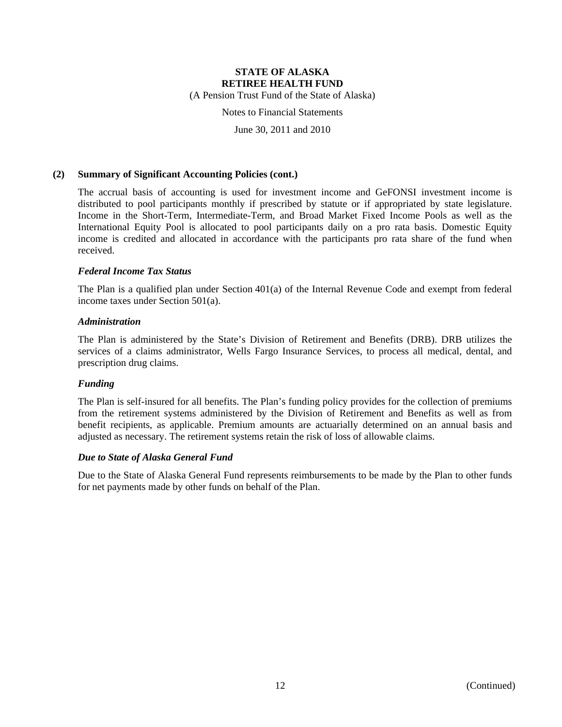(A Pension Trust Fund of the State of Alaska)

Notes to Financial Statements

June 30, 2011 and 2010

#### **(2) Summary of Significant Accounting Policies (cont.)**

The accrual basis of accounting is used for investment income and GeFONSI investment income is distributed to pool participants monthly if prescribed by statute or if appropriated by state legislature. Income in the Short-Term, Intermediate-Term, and Broad Market Fixed Income Pools as well as the International Equity Pool is allocated to pool participants daily on a pro rata basis. Domestic Equity income is credited and allocated in accordance with the participants pro rata share of the fund when received.

#### *Federal Income Tax Status*

The Plan is a qualified plan under Section 401(a) of the Internal Revenue Code and exempt from federal income taxes under Section 501(a).

#### *Administration*

The Plan is administered by the State's Division of Retirement and Benefits (DRB). DRB utilizes the services of a claims administrator, Wells Fargo Insurance Services, to process all medical, dental, and prescription drug claims.

### *Funding*

The Plan is self-insured for all benefits. The Plan's funding policy provides for the collection of premiums from the retirement systems administered by the Division of Retirement and Benefits as well as from benefit recipients, as applicable. Premium amounts are actuarially determined on an annual basis and adjusted as necessary. The retirement systems retain the risk of loss of allowable claims.

#### *Due to State of Alaska General Fund*

Due to the State of Alaska General Fund represents reimbursements to be made by the Plan to other funds for net payments made by other funds on behalf of the Plan.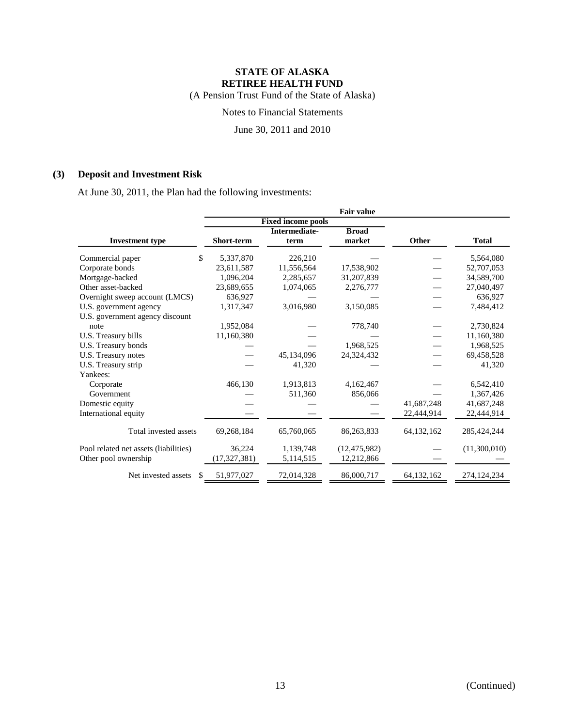(A Pension Trust Fund of the State of Alaska)

Notes to Financial Statements

June 30, 2011 and 2010

### **(3) Deposit and Investment Risk**

At June 30, 2011, the Plan had the following investments:

|                                       | Fair value        |                           |                |              |               |  |  |  |
|---------------------------------------|-------------------|---------------------------|----------------|--------------|---------------|--|--|--|
|                                       |                   | <b>Fixed income pools</b> |                |              |               |  |  |  |
|                                       |                   | Intermediate-             | <b>Broad</b>   |              |               |  |  |  |
| <b>Investment type</b>                | <b>Short-term</b> | term                      | market         | Other        | <b>Total</b>  |  |  |  |
| \$<br>Commercial paper                | 5,337,870         | 226,210                   |                |              | 5,564,080     |  |  |  |
| Corporate bonds                       | 23,611,587        | 11,556,564                | 17,538,902     |              | 52,707,053    |  |  |  |
| Mortgage-backed                       | 1,096,204         | 2,285,657                 | 31,207,839     |              | 34,589,700    |  |  |  |
| Other asset-backed                    | 23,689,655        | 1,074,065                 | 2,276,777      |              | 27,040,497    |  |  |  |
| Overnight sweep account (LMCS)        | 636,927           |                           |                |              | 636,927       |  |  |  |
| U.S. government agency                | 1,317,347         | 3,016,980                 | 3,150,085      |              | 7,484,412     |  |  |  |
| U.S. government agency discount       |                   |                           |                |              |               |  |  |  |
| note                                  | 1,952,084         |                           | 778,740        |              | 2,730,824     |  |  |  |
| U.S. Treasury bills                   | 11,160,380        |                           |                |              | 11,160,380    |  |  |  |
| U.S. Treasury bonds                   |                   |                           | 1,968,525      |              | 1,968,525     |  |  |  |
| U.S. Treasury notes                   |                   | 45,134,096                | 24,324,432     |              | 69,458,528    |  |  |  |
| U.S. Treasury strip                   |                   | 41,320                    |                |              | 41,320        |  |  |  |
| Yankees:                              |                   |                           |                |              |               |  |  |  |
| Corporate                             | 466,130           | 1,913,813                 | 4,162,467      |              | 6,542,410     |  |  |  |
| Government                            |                   | 511,360                   | 856,066        |              | 1,367,426     |  |  |  |
| Domestic equity                       |                   |                           |                | 41,687,248   | 41,687,248    |  |  |  |
| International equity                  |                   |                           |                | 22,444,914   | 22,444,914    |  |  |  |
| Total invested assets                 | 69,268,184        | 65,760,065                | 86,263,833     | 64,132,162   | 285, 424, 244 |  |  |  |
| Pool related net assets (liabilities) | 36,224            | 1,139,748                 | (12, 475, 982) |              | (11,300,010)  |  |  |  |
| Other pool ownership                  | (17, 327, 381)    | 5,114,515                 | 12,212,866     |              |               |  |  |  |
| Net invested assets<br>S              | 51,977,027        | 72,014,328                | 86,000,717     | 64, 132, 162 | 274, 124, 234 |  |  |  |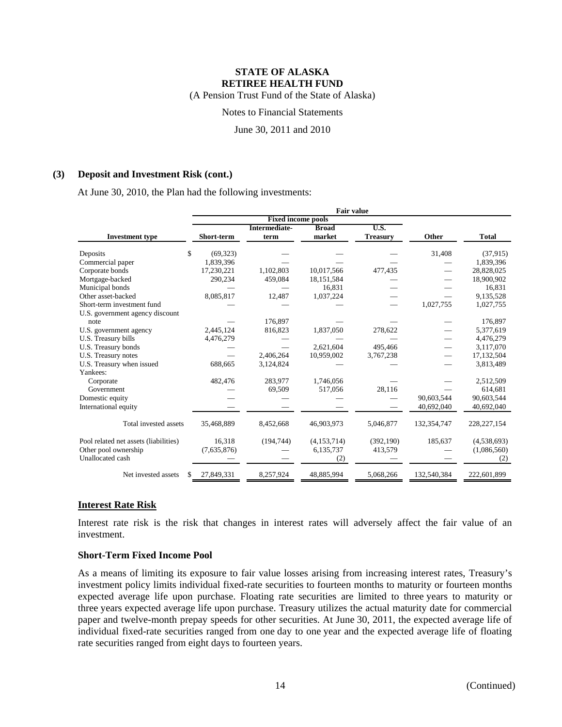(A Pension Trust Fund of the State of Alaska)

Notes to Financial Statements

June 30, 2011 and 2010

#### **(3) Deposit and Investment Risk (cont.)**

At June 30, 2010, the Plan had the following investments:

|                                       |                  | Intermediate- | <b>Broad</b> | U.S.            |             |               |
|---------------------------------------|------------------|---------------|--------------|-----------------|-------------|---------------|
| <b>Investment</b> type                | Short-term       | term          | market       | <b>Treasury</b> | Other       | <b>Total</b>  |
| Deposits                              | \$<br>(69, 323)  |               |              |                 | 31,408      | (37,915)      |
| Commercial paper                      | 1,839,396        |               |              |                 |             | 1,839,396     |
| Corporate bonds                       | 17,230,221       | 1,102,803     | 10,017,566   | 477,435         |             | 28,828,025    |
| Mortgage-backed                       | 290,234          | 459,084       | 18, 151, 584 |                 |             | 18,900,902    |
| Municipal bonds                       |                  |               | 16.831       |                 |             | 16,831        |
| Other asset-backed                    | 8,085,817        | 12,487        | 1,037,224    |                 |             | 9,135,528     |
| Short-term investment fund            |                  |               |              |                 | 1,027,755   | 1,027,755     |
| U.S. government agency discount       |                  |               |              |                 |             |               |
| note                                  |                  | 176.897       |              |                 |             | 176,897       |
| U.S. government agency                | 2,445,124        | 816,823       | 1,837,050    | 278,622         |             | 5,377,619     |
| U.S. Treasury bills                   | 4,476,279        |               |              |                 |             | 4,476,279     |
| U.S. Treasury bonds                   |                  |               | 2,621,604    | 495.466         |             | 3.117.070     |
| U.S. Treasury notes                   |                  | 2,406,264     | 10,959,002   | 3,767,238       |             | 17,132,504    |
| U.S. Treasury when issued             | 688,665          | 3,124,824     |              |                 |             | 3,813,489     |
| Yankees:                              |                  |               |              |                 |             |               |
| Corporate                             | 482,476          | 283.977       | 1,746,056    |                 |             | 2,512,509     |
| Government                            |                  | 69,509        | 517,056      | 28,116          |             | 614,681       |
| Domestic equity                       |                  |               |              |                 | 90,603,544  | 90,603,544    |
| International equity                  |                  |               |              |                 | 40,692,040  | 40,692,040    |
|                                       |                  |               |              |                 |             |               |
| Total invested assets                 | 35,468,889       | 8,452,668     | 46,903,973   | 5,046,877       | 132,354,747 | 228, 227, 154 |
| Pool related net assets (liabilities) | 16,318           | (194, 744)    | (4,153,714)  | (392, 190)      | 185,637     | (4,538,693)   |
| Other pool ownership                  | (7,635,876)      |               | 6,135,737    | 413,579         |             | (1,086,560)   |
| Unallocated cash                      |                  |               | (2)          |                 |             | (2)           |
|                                       |                  |               |              |                 |             |               |
| Net invested assets                   | 27,849,331<br>\$ | 8,257,924     | 48,885,994   | 5,068,266       | 132,540,384 | 222,601,899   |

### **Interest Rate Risk**

Interest rate risk is the risk that changes in interest rates will adversely affect the fair value of an investment.

#### **Short-Term Fixed Income Pool**

As a means of limiting its exposure to fair value losses arising from increasing interest rates, Treasury's investment policy limits individual fixed-rate securities to fourteen months to maturity or fourteen months expected average life upon purchase. Floating rate securities are limited to three years to maturity or three years expected average life upon purchase. Treasury utilizes the actual maturity date for commercial paper and twelve-month prepay speeds for other securities. At June 30, 2011, the expected average life of individual fixed-rate securities ranged from one day to one year and the expected average life of floating rate securities ranged from eight days to fourteen years.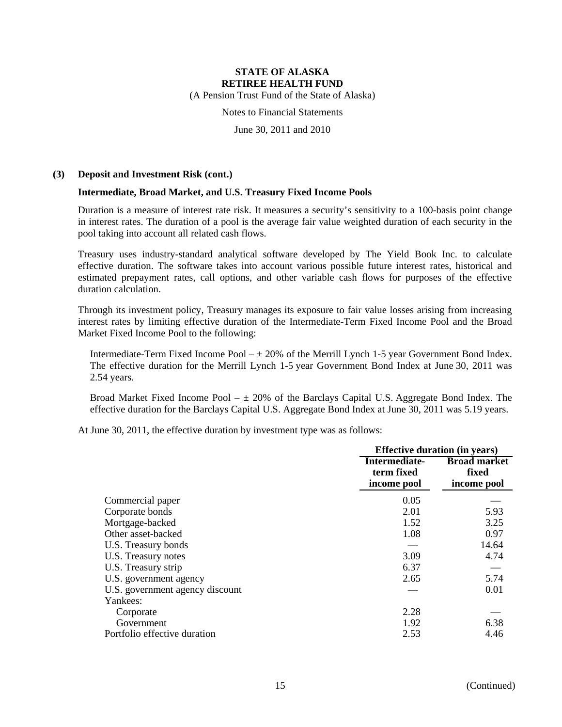(A Pension Trust Fund of the State of Alaska)

Notes to Financial Statements

June 30, 2011 and 2010

#### **(3) Deposit and Investment Risk (cont.)**

#### **Intermediate, Broad Market, and U.S. Treasury Fixed Income Pools**

Duration is a measure of interest rate risk. It measures a security's sensitivity to a 100-basis point change in interest rates. The duration of a pool is the average fair value weighted duration of each security in the pool taking into account all related cash flows.

Treasury uses industry-standard analytical software developed by The Yield Book Inc. to calculate effective duration. The software takes into account various possible future interest rates, historical and estimated prepayment rates, call options, and other variable cash flows for purposes of the effective duration calculation.

Through its investment policy, Treasury manages its exposure to fair value losses arising from increasing interest rates by limiting effective duration of the Intermediate-Term Fixed Income Pool and the Broad Market Fixed Income Pool to the following:

Intermediate-Term Fixed Income Pool  $-\pm 20\%$  of the Merrill Lynch 1-5 year Government Bond Index. The effective duration for the Merrill Lynch 1-5 year Government Bond Index at June 30, 2011 was 2.54 years.

Broad Market Fixed Income Pool  $- \pm 20\%$  of the Barclays Capital U.S. Aggregate Bond Index. The effective duration for the Barclays Capital U.S. Aggregate Bond Index at June 30, 2011 was 5.19 years.

At June 30, 2011, the effective duration by investment type was as follows:

|                                 |                                            | <b>Effective duration (in years)</b>        |
|---------------------------------|--------------------------------------------|---------------------------------------------|
|                                 | Intermediate-<br>term fixed<br>income pool | <b>Broad market</b><br>fixed<br>income pool |
| Commercial paper                | 0.05                                       |                                             |
| Corporate bonds                 | 2.01                                       | 5.93                                        |
| Mortgage-backed                 | 1.52                                       | 3.25                                        |
| Other asset-backed              | 1.08                                       | 0.97                                        |
| U.S. Treasury bonds             |                                            | 14.64                                       |
| U.S. Treasury notes             | 3.09                                       | 4.74                                        |
| U.S. Treasury strip             | 6.37                                       |                                             |
| U.S. government agency          | 2.65                                       | 5.74                                        |
| U.S. government agency discount |                                            | 0.01                                        |
| Yankees:                        |                                            |                                             |
| Corporate                       | 2.28                                       |                                             |
| Government                      | 1.92                                       | 6.38                                        |
| Portfolio effective duration    | 2.53                                       | 4.46                                        |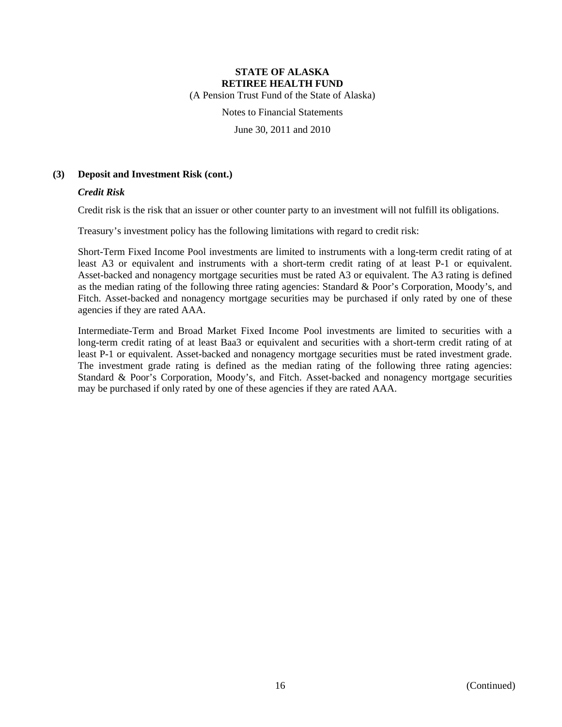(A Pension Trust Fund of the State of Alaska)

Notes to Financial Statements

June 30, 2011 and 2010

#### **(3) Deposit and Investment Risk (cont.)**

#### *Credit Risk*

Credit risk is the risk that an issuer or other counter party to an investment will not fulfill its obligations.

Treasury's investment policy has the following limitations with regard to credit risk:

Short-Term Fixed Income Pool investments are limited to instruments with a long-term credit rating of at least A3 or equivalent and instruments with a short-term credit rating of at least P-1 or equivalent. Asset-backed and nonagency mortgage securities must be rated A3 or equivalent. The A3 rating is defined as the median rating of the following three rating agencies: Standard & Poor's Corporation, Moody's, and Fitch. Asset-backed and nonagency mortgage securities may be purchased if only rated by one of these agencies if they are rated AAA.

Intermediate-Term and Broad Market Fixed Income Pool investments are limited to securities with a long-term credit rating of at least Baa3 or equivalent and securities with a short-term credit rating of at least P-1 or equivalent. Asset-backed and nonagency mortgage securities must be rated investment grade. The investment grade rating is defined as the median rating of the following three rating agencies: Standard & Poor's Corporation, Moody's, and Fitch. Asset-backed and nonagency mortgage securities may be purchased if only rated by one of these agencies if they are rated AAA.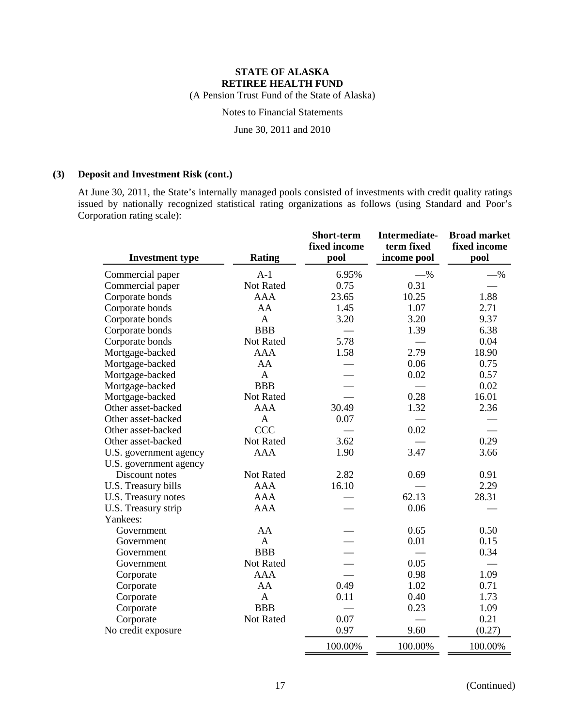(A Pension Trust Fund of the State of Alaska)

Notes to Financial Statements

June 30, 2011 and 2010

#### **(3) Deposit and Investment Risk (cont.)**

At June 30, 2011, the State's internally managed pools consisted of investments with credit quality ratings issued by nationally recognized statistical rating organizations as follows (using Standard and Poor's Corporation rating scale):

| <b>Investment type</b> | <b>Rating</b> | Short-term<br>fixed income<br>pool | Intermediate-<br>term fixed<br>income pool | <b>Broad market</b><br>fixed income<br>pool |
|------------------------|---------------|------------------------------------|--------------------------------------------|---------------------------------------------|
| Commercial paper       | $A-1$         | 6.95%                              | $-$ %                                      | $-$ %                                       |
| Commercial paper       | Not Rated     | 0.75                               | 0.31                                       |                                             |
| Corporate bonds        | <b>AAA</b>    | 23.65                              | 10.25                                      | 1.88                                        |
| Corporate bonds        | AA            | 1.45                               | 1.07                                       | 2.71                                        |
| Corporate bonds        | $\mathbf{A}$  | 3.20                               | 3.20                                       | 9.37                                        |
| Corporate bonds        | <b>BBB</b>    |                                    | 1.39                                       | 6.38                                        |
| Corporate bonds        | Not Rated     | 5.78                               |                                            | 0.04                                        |
| Mortgage-backed        | <b>AAA</b>    | 1.58                               | 2.79                                       | 18.90                                       |
| Mortgage-backed        | AA            |                                    | 0.06                                       | 0.75                                        |
| Mortgage-backed        | $\mathbf{A}$  |                                    | 0.02                                       | 0.57                                        |
| Mortgage-backed        | <b>BBB</b>    |                                    |                                            | 0.02                                        |
| Mortgage-backed        | Not Rated     |                                    | 0.28                                       | 16.01                                       |
| Other asset-backed     | <b>AAA</b>    | 30.49                              | 1.32                                       | 2.36                                        |
| Other asset-backed     | $\mathbf{A}$  | 0.07                               |                                            |                                             |
| Other asset-backed     | <b>CCC</b>    |                                    | 0.02                                       |                                             |
| Other asset-backed     | Not Rated     | 3.62                               |                                            | 0.29                                        |
| U.S. government agency | <b>AAA</b>    | 1.90                               | 3.47                                       | 3.66                                        |
| U.S. government agency |               |                                    |                                            |                                             |
| Discount notes         | Not Rated     | 2.82                               | 0.69                                       | 0.91                                        |
| U.S. Treasury bills    | <b>AAA</b>    | 16.10                              |                                            | 2.29                                        |
| U.S. Treasury notes    | <b>AAA</b>    |                                    | 62.13                                      | 28.31                                       |
| U.S. Treasury strip    | <b>AAA</b>    |                                    | 0.06                                       |                                             |
| Yankees:               |               |                                    |                                            |                                             |
| Government             | AA            |                                    | 0.65                                       | 0.50                                        |
| Government             | $\mathbf{A}$  |                                    | 0.01                                       | 0.15                                        |
| Government             | <b>BBB</b>    |                                    |                                            | 0.34                                        |
| Government             | Not Rated     |                                    | 0.05                                       |                                             |
| Corporate              | <b>AAA</b>    |                                    | 0.98                                       | 1.09                                        |
| Corporate              | AA            | 0.49                               | 1.02                                       | 0.71                                        |
| Corporate              | $\mathbf{A}$  | 0.11                               | 0.40                                       | 1.73                                        |
| Corporate              | <b>BBB</b>    |                                    | 0.23                                       | 1.09                                        |
| Corporate              | Not Rated     | 0.07                               |                                            | 0.21                                        |
| No credit exposure     |               | 0.97                               | 9.60                                       | (0.27)                                      |
|                        |               | 100.00%                            | 100.00%                                    | 100.00%                                     |

17 (Continued)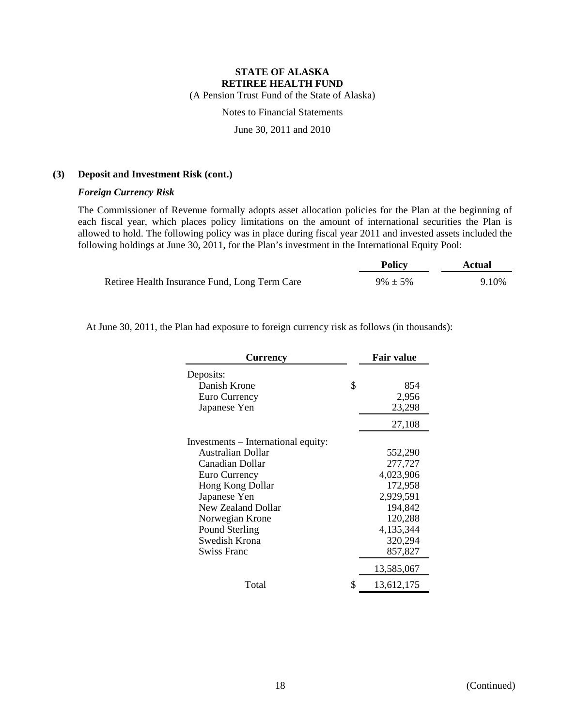(A Pension Trust Fund of the State of Alaska)

Notes to Financial Statements

June 30, 2011 and 2010

#### **(3) Deposit and Investment Risk (cont.)**

#### *Foreign Currency Risk*

The Commissioner of Revenue formally adopts asset allocation policies for the Plan at the beginning of each fiscal year, which places policy limitations on the amount of international securities the Plan is allowed to hold. The following policy was in place during fiscal year 2011 and invested assets included the following holdings at June 30, 2011, for the Plan's investment in the International Equity Pool:

|                                               | <b>Policy</b> | Actual |
|-----------------------------------------------|---------------|--------|
| Retiree Health Insurance Fund, Long Term Care | $9\% \pm 5\%$ | 9.10%  |

At June 30, 2011, the Plan had exposure to foreign currency risk as follows (in thousands):

| <b>Currency</b>                     | <b>Fair value</b> |
|-------------------------------------|-------------------|
| Deposits:                           |                   |
| Danish Krone                        | \$<br>854         |
| Euro Currency                       | 2,956             |
| Japanese Yen                        | 23,298            |
|                                     | 27,108            |
| Investments - International equity: |                   |
| Australian Dollar                   | 552,290           |
| Canadian Dollar                     | 277,727           |
| Euro Currency                       | 4,023,906         |
| <b>Hong Kong Dollar</b>             | 172,958           |
| Japanese Yen                        | 2,929,591         |
| New Zealand Dollar                  | 194,842           |
| Norwegian Krone                     | 120,288           |
| Pound Sterling                      | 4,135,344         |
| Swedish Krona                       | 320,294           |
| Swiss Franc                         | 857,827           |
|                                     | 13,585,067        |
| Total                               | \$<br>13,612,175  |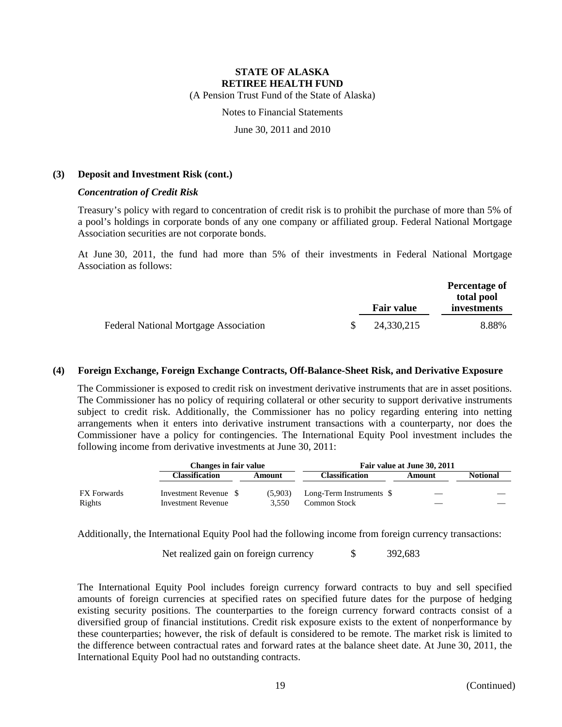(A Pension Trust Fund of the State of Alaska)

Notes to Financial Statements

June 30, 2011 and 2010

#### **(3) Deposit and Investment Risk (cont.)**

#### *Concentration of Credit Risk*

Treasury's policy with regard to concentration of credit risk is to prohibit the purchase of more than 5% of a pool's holdings in corporate bonds of any one company or affiliated group. Federal National Mortgage Association securities are not corporate bonds.

At June 30, 2011, the fund had more than 5% of their investments in Federal National Mortgage Association as follows:

|                                              | <b>Fair value</b> |            | Percentage of<br>total pool<br>investments |
|----------------------------------------------|-------------------|------------|--------------------------------------------|
| <b>Federal National Mortgage Association</b> |                   | 24,330,215 | 8.88%                                      |

#### **(4) Foreign Exchange, Foreign Exchange Contracts, Off-Balance-Sheet Risk, and Derivative Exposure**

The Commissioner is exposed to credit risk on investment derivative instruments that are in asset positions. The Commissioner has no policy of requiring collateral or other security to support derivative instruments subject to credit risk. Additionally, the Commissioner has no policy regarding entering into netting arrangements when it enters into derivative instrument transactions with a counterparty, nor does the Commissioner have a policy for contingencies. The International Equity Pool investment includes the following income from derivative investments at June 30, 2011:

|                       | Changes in fair value                              |  |                  | Fair value at June 30, 2011                     |  |        |                 |
|-----------------------|----------------------------------------------------|--|------------------|-------------------------------------------------|--|--------|-----------------|
|                       | Classification                                     |  | Amount           | <b>Classification</b>                           |  | Amount | <b>Notional</b> |
| FX Forwards<br>Rights | Investment Revenue \$<br><b>Investment Revenue</b> |  | (5.903)<br>3.550 | Long-Term Instruments \$<br><b>Common Stock</b> |  |        |                 |

Additionally, the International Equity Pool had the following income from foreign currency transactions:

Net realized gain on foreign currency  $\qquad$  \$ 392,683

The International Equity Pool includes foreign currency forward contracts to buy and sell specified amounts of foreign currencies at specified rates on specified future dates for the purpose of hedging existing security positions. The counterparties to the foreign currency forward contracts consist of a diversified group of financial institutions. Credit risk exposure exists to the extent of nonperformance by these counterparties; however, the risk of default is considered to be remote. The market risk is limited to the difference between contractual rates and forward rates at the balance sheet date. At June 30, 2011, the International Equity Pool had no outstanding contracts.